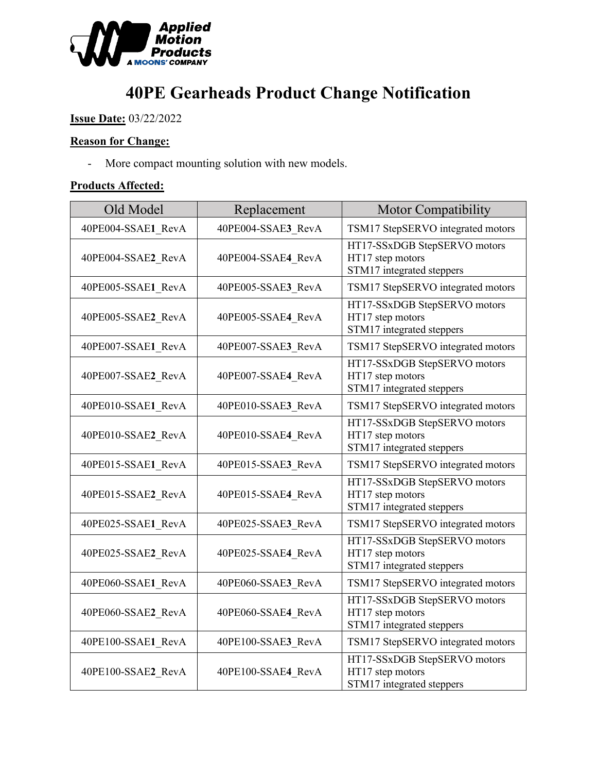

# **40PE Gearheads Product Change Notification**

**Issue Date:** 03/22/2022

## **Reason for Change:**

- More compact mounting solution with new models.

#### **Products Affected:**

| Old Model          | Replacement        | <b>Motor Compatibility</b>                                                    |
|--------------------|--------------------|-------------------------------------------------------------------------------|
| 40PE004-SSAE1 RevA | 40PE004-SSAE3 RevA | TSM17 StepSERVO integrated motors                                             |
| 40PE004-SSAE2 RevA | 40PE004-SSAE4 RevA | HT17-SSxDGB StepSERVO motors<br>HT17 step motors<br>STM17 integrated steppers |
| 40PE005-SSAE1 RevA | 40PE005-SSAE3 RevA | TSM17 StepSERVO integrated motors                                             |
| 40PE005-SSAE2 RevA | 40PE005-SSAE4 RevA | HT17-SSxDGB StepSERVO motors<br>HT17 step motors<br>STM17 integrated steppers |
| 40PE007-SSAE1 RevA | 40PE007-SSAE3_RevA | TSM17 StepSERVO integrated motors                                             |
| 40PE007-SSAE2_RevA | 40PE007-SSAE4 RevA | HT17-SSxDGB StepSERVO motors<br>HT17 step motors<br>STM17 integrated steppers |
| 40PE010-SSAE1 RevA | 40PE010-SSAE3 RevA | TSM17 StepSERVO integrated motors                                             |
| 40PE010-SSAE2 RevA | 40PE010-SSAE4 RevA | HT17-SSxDGB StepSERVO motors<br>HT17 step motors<br>STM17 integrated steppers |
| 40PE015-SSAE1 RevA | 40PE015-SSAE3_RevA | TSM17 StepSERVO integrated motors                                             |
| 40PE015-SSAE2_RevA | 40PE015-SSAE4_RevA | HT17-SSxDGB StepSERVO motors<br>HT17 step motors<br>STM17 integrated steppers |
| 40PE025-SSAE1 RevA | 40PE025-SSAE3_RevA | TSM17 StepSERVO integrated motors                                             |
| 40PE025-SSAE2_RevA | 40PE025-SSAE4 RevA | HT17-SSxDGB StepSERVO motors<br>HT17 step motors<br>STM17 integrated steppers |
| 40PE060-SSAE1 RevA | 40PE060-SSAE3 RevA | TSM17 StepSERVO integrated motors                                             |
| 40PE060-SSAE2_RevA | 40PE060-SSAE4 RevA | HT17-SSxDGB StepSERVO motors<br>HT17 step motors<br>STM17 integrated steppers |
| 40PE100-SSAE1 RevA | 40PE100-SSAE3 RevA | TSM17 StepSERVO integrated motors                                             |
| 40PE100-SSAE2_RevA | 40PE100-SSAE4_RevA | HT17-SSxDGB StepSERVO motors<br>HT17 step motors<br>STM17 integrated steppers |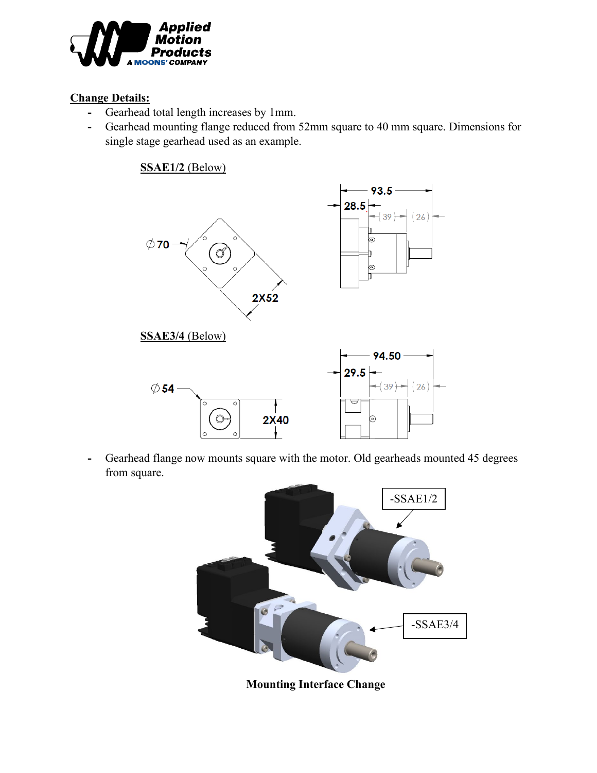

## **Change Details:**

- **-** Gearhead total length increases by 1mm.
- **-** Gearhead mounting flange reduced from 52mm square to 40 mm square. Dimensions for single stage gearhead used as an example.

**SSAE1/2** (Below)



**-** Gearhead flange now mounts square with the motor. Old gearheads mounted 45 degrees from square.



**Mounting Interface Change**